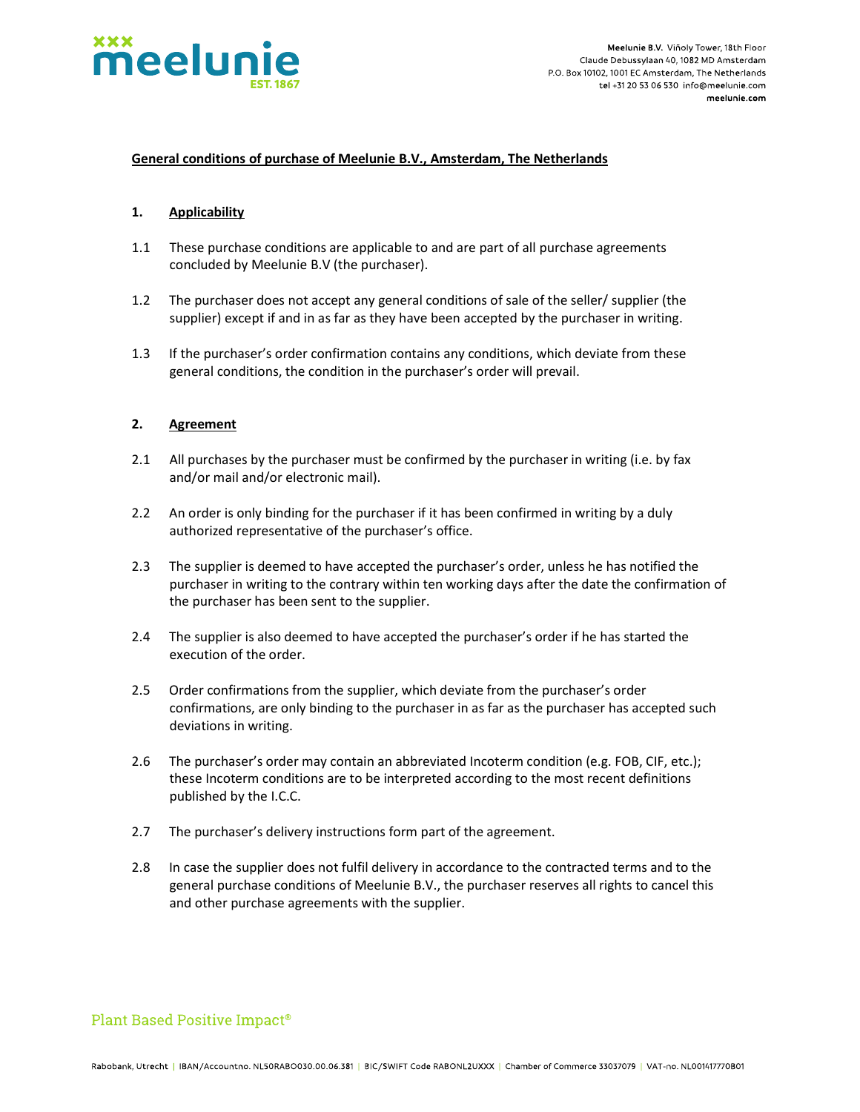

### General conditions of purchase of Meelunie B.V., Amsterdam, The Netherlands

### 1. Applicability

- 1.1 These purchase conditions are applicable to and are part of all purchase agreements concluded by Meelunie B.V (the purchaser).
- 1.2 The purchaser does not accept any general conditions of sale of the seller/ supplier (the supplier) except if and in as far as they have been accepted by the purchaser in writing.
- 1.3 If the purchaser's order confirmation contains any conditions, which deviate from these general conditions, the condition in the purchaser's order will prevail.

### 2. Agreement

- 2.1 All purchases by the purchaser must be confirmed by the purchaser in writing (i.e. by fax and/or mail and/or electronic mail).
- 2.2 An order is only binding for the purchaser if it has been confirmed in writing by a duly authorized representative of the purchaser's office.
- 2.3 The supplier is deemed to have accepted the purchaser's order, unless he has notified the purchaser in writing to the contrary within ten working days after the date the confirmation of the purchaser has been sent to the supplier.
- 2.4 The supplier is also deemed to have accepted the purchaser's order if he has started the execution of the order.
- 2.5 Order confirmations from the supplier, which deviate from the purchaser's order confirmations, are only binding to the purchaser in as far as the purchaser has accepted such deviations in writing.
- 2.6 The purchaser's order may contain an abbreviated Incoterm condition (e.g. FOB, CIF, etc.); these Incoterm conditions are to be interpreted according to the most recent definitions published by the I.C.C.
- 2.7 The purchaser's delivery instructions form part of the agreement.
- 2.8 In case the supplier does not fulfil delivery in accordance to the contracted terms and to the general purchase conditions of Meelunie B.V., the purchaser reserves all rights to cancel this and other purchase agreements with the supplier.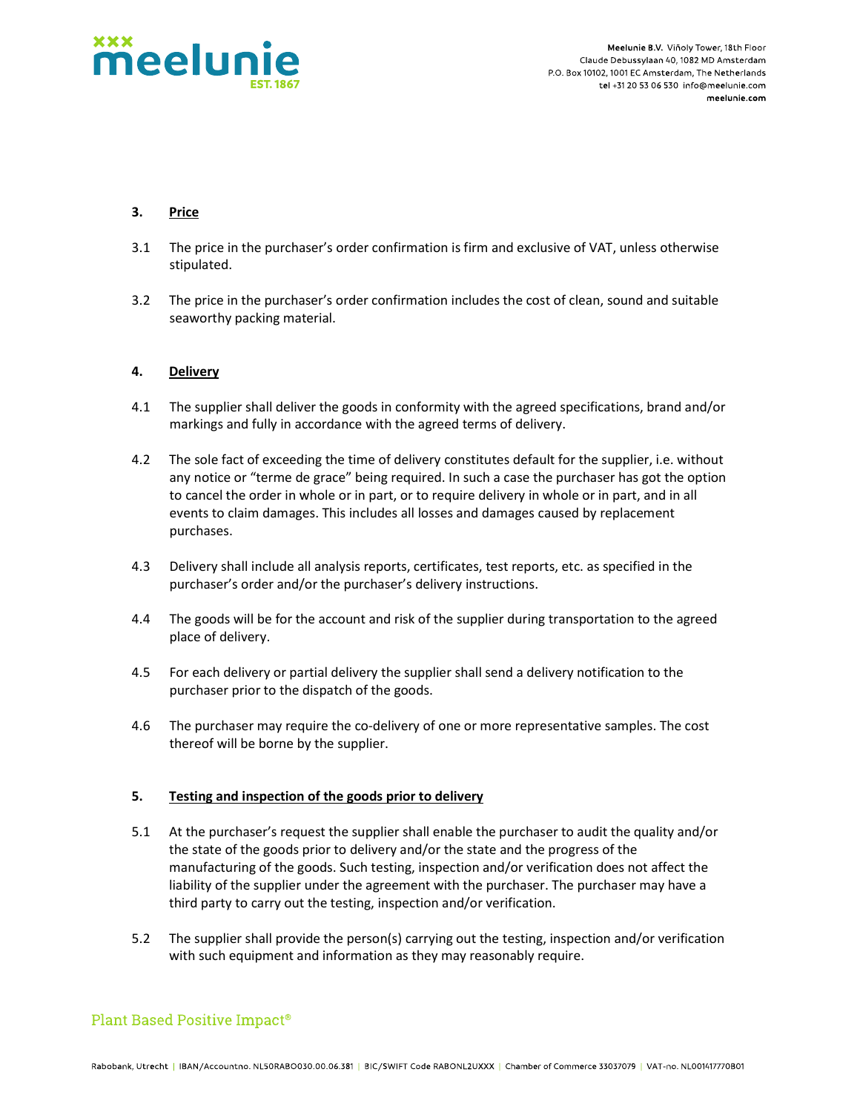

Meelunie B.V. Viñoly Tower, 18th Floor Claude Debussylaan 40, 1082 MD Amsterdam P.O. Box 10102, 1001 EC Amsterdam. The Netherlands tel +31 20 53 06 530 info@meelunie.com meelunie.com

## 3. Price

- 3.1 The price in the purchaser's order confirmation is firm and exclusive of VAT, unless otherwise stipulated.
- 3.2 The price in the purchaser's order confirmation includes the cost of clean, sound and suitable seaworthy packing material.

## 4. Delivery

- 4.1 The supplier shall deliver the goods in conformity with the agreed specifications, brand and/or markings and fully in accordance with the agreed terms of delivery.
- 4.2 The sole fact of exceeding the time of delivery constitutes default for the supplier, i.e. without any notice or "terme de grace" being required. In such a case the purchaser has got the option to cancel the order in whole or in part, or to require delivery in whole or in part, and in all events to claim damages. This includes all losses and damages caused by replacement purchases.
- 4.3 Delivery shall include all analysis reports, certificates, test reports, etc. as specified in the purchaser's order and/or the purchaser's delivery instructions.
- 4.4 The goods will be for the account and risk of the supplier during transportation to the agreed place of delivery.
- 4.5 For each delivery or partial delivery the supplier shall send a delivery notification to the purchaser prior to the dispatch of the goods.
- 4.6 The purchaser may require the co-delivery of one or more representative samples. The cost thereof will be borne by the supplier.

### 5. Testing and inspection of the goods prior to delivery

- 5.1 At the purchaser's request the supplier shall enable the purchaser to audit the quality and/or the state of the goods prior to delivery and/or the state and the progress of the manufacturing of the goods. Such testing, inspection and/or verification does not affect the liability of the supplier under the agreement with the purchaser. The purchaser may have a third party to carry out the testing, inspection and/or verification.
- 5.2 The supplier shall provide the person(s) carrying out the testing, inspection and/or verification with such equipment and information as they may reasonably require.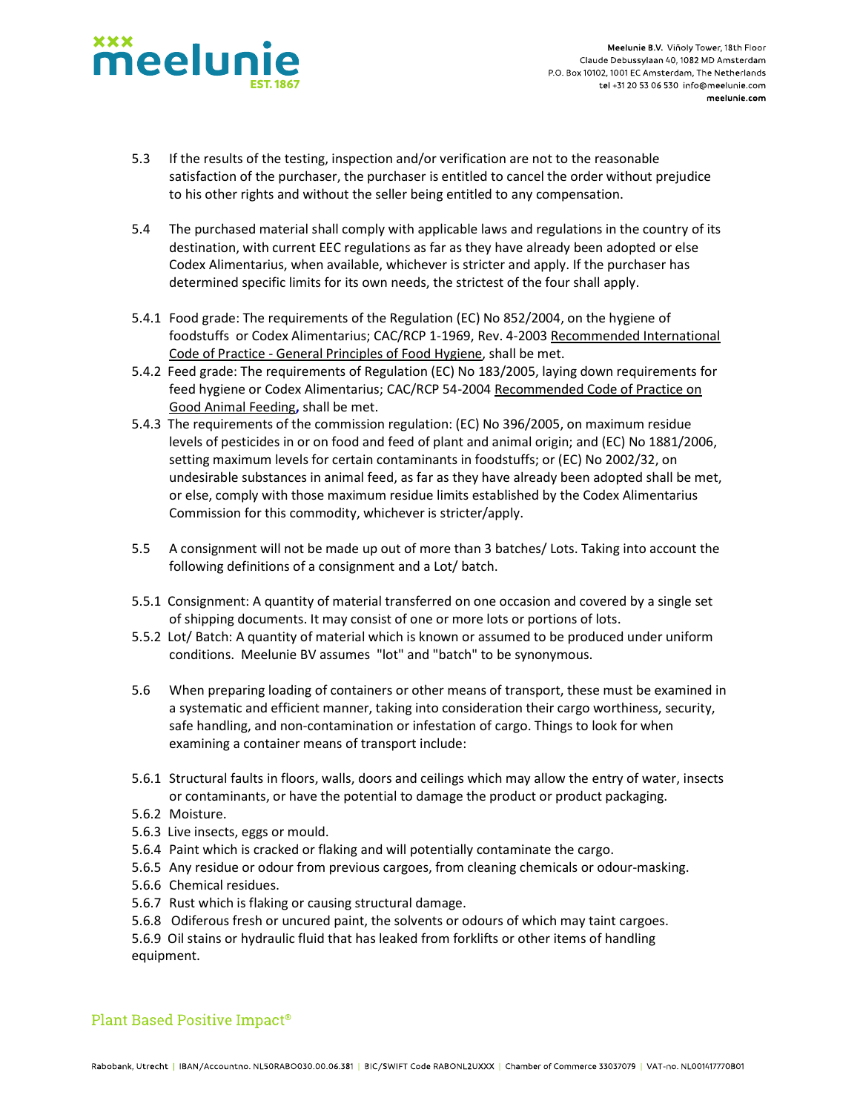

- 5.3 If the results of the testing, inspection and/or verification are not to the reasonable satisfaction of the purchaser, the purchaser is entitled to cancel the order without prejudice to his other rights and without the seller being entitled to any compensation.
- 5.4 The purchased material shall comply with applicable laws and regulations in the country of its destination, with current EEC regulations as far as they have already been adopted or else Codex Alimentarius, when available, whichever is stricter and apply. If the purchaser has determined specific limits for its own needs, the strictest of the four shall apply.
- 5.4.1 Food grade: The requirements of the Regulation (EC) No 852/2004, on the hygiene of foodstuffs or Codex Alimentarius; CAC/RCP 1-1969, Rev. 4-2003 Recommended International Code of Practice - General Principles of Food Hygiene, shall be met.
- 5.4.2 Feed grade: The requirements of Regulation (EC) No 183/2005, laying down requirements for feed hygiene or Codex Alimentarius; CAC/RCP 54-2004 Recommended Code of Practice on Good Animal Feeding, shall be met.
- 5.4.3 The requirements of the commission regulation: (EC) No 396/2005, on maximum residue levels of pesticides in or on food and feed of plant and animal origin; and (EC) No 1881/2006, setting maximum levels for certain contaminants in foodstuffs; or (EC) No 2002/32, on undesirable substances in animal feed, as far as they have already been adopted shall be met, or else, comply with those maximum residue limits established by the Codex Alimentarius Commission for this commodity, whichever is stricter/apply.
- 5.5 A consignment will not be made up out of more than 3 batches/ Lots. Taking into account the following definitions of a consignment and a Lot/ batch.
- 5.5.1 Consignment: A quantity of material transferred on one occasion and covered by a single set of shipping documents. It may consist of one or more lots or portions of lots.
- 5.5.2 Lot/ Batch: A quantity of material which is known or assumed to be produced under uniform conditions. Meelunie BV assumes "lot" and "batch" to be synonymous.
- 5.6 When preparing loading of containers or other means of transport, these must be examined in a systematic and efficient manner, taking into consideration their cargo worthiness, security, safe handling, and non-contamination or infestation of cargo. Things to look for when examining a container means of transport include:
- 5.6.1 Structural faults in floors, walls, doors and ceilings which may allow the entry of water, insects or contaminants, or have the potential to damage the product or product packaging.
- 5.6.2 Moisture.
- 5.6.3 Live insects, eggs or mould.
- 5.6.4 Paint which is cracked or flaking and will potentially contaminate the cargo.
- 5.6.5 Any residue or odour from previous cargoes, from cleaning chemicals or odour-masking.
- 5.6.6 Chemical residues.
- 5.6.7 Rust which is flaking or causing structural damage.
- 5.6.8 Odiferous fresh or uncured paint, the solvents or odours of which may taint cargoes.
- 5.6.9 Oil stains or hydraulic fluid that has leaked from forklifts or other items of handling equipment.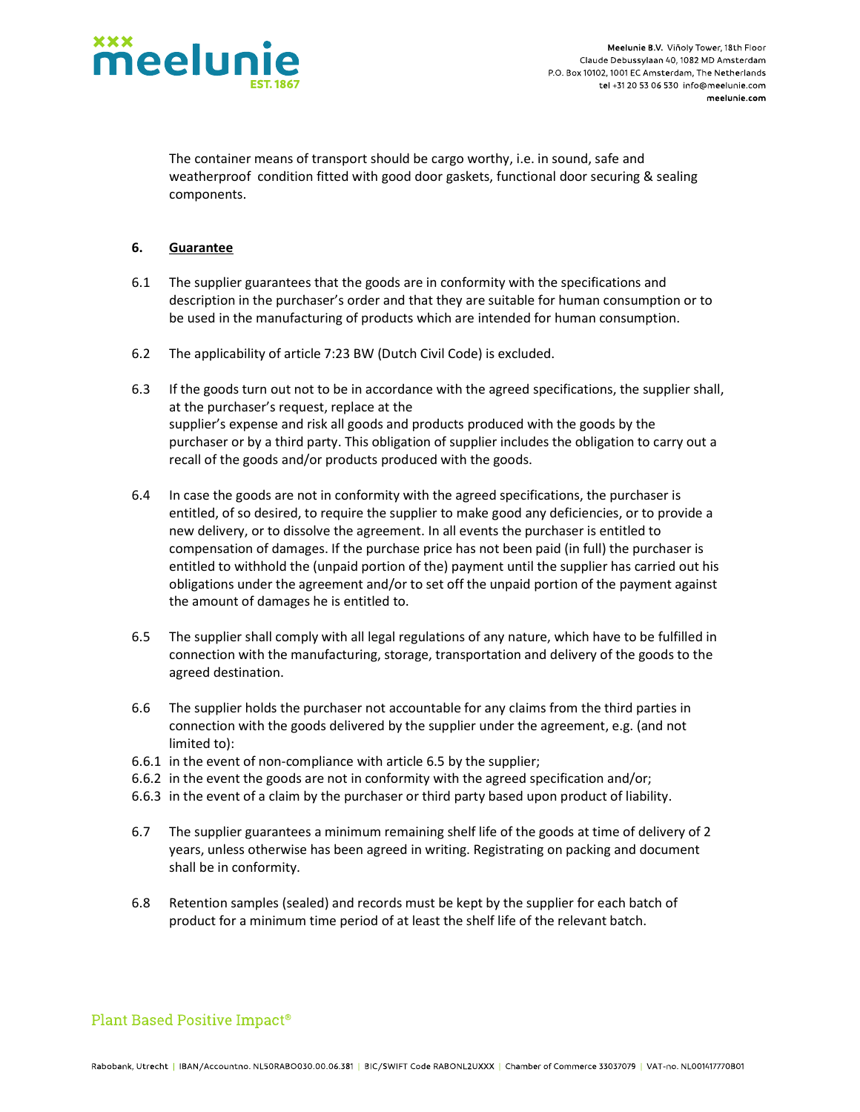

The container means of transport should be cargo worthy, i.e. in sound, safe and weatherproof condition fitted with good door gaskets, functional door securing & sealing components.

## 6. Guarantee

- 6.1 The supplier guarantees that the goods are in conformity with the specifications and description in the purchaser's order and that they are suitable for human consumption or to be used in the manufacturing of products which are intended for human consumption.
- 6.2 The applicability of article 7:23 BW (Dutch Civil Code) is excluded.
- 6.3 If the goods turn out not to be in accordance with the agreed specifications, the supplier shall, at the purchaser's request, replace at the supplier's expense and risk all goods and products produced with the goods by the purchaser or by a third party. This obligation of supplier includes the obligation to carry out a recall of the goods and/or products produced with the goods.
- 6.4 In case the goods are not in conformity with the agreed specifications, the purchaser is entitled, of so desired, to require the supplier to make good any deficiencies, or to provide a new delivery, or to dissolve the agreement. In all events the purchaser is entitled to compensation of damages. If the purchase price has not been paid (in full) the purchaser is entitled to withhold the (unpaid portion of the) payment until the supplier has carried out his obligations under the agreement and/or to set off the unpaid portion of the payment against the amount of damages he is entitled to.
- 6.5 The supplier shall comply with all legal regulations of any nature, which have to be fulfilled in connection with the manufacturing, storage, transportation and delivery of the goods to the agreed destination.
- 6.6 The supplier holds the purchaser not accountable for any claims from the third parties in connection with the goods delivered by the supplier under the agreement, e.g. (and not limited to):
- 6.6.1 in the event of non-compliance with article 6.5 by the supplier;
- 6.6.2 in the event the goods are not in conformity with the agreed specification and/or;
- 6.6.3 in the event of a claim by the purchaser or third party based upon product of liability.
- 6.7 The supplier guarantees a minimum remaining shelf life of the goods at time of delivery of 2 years, unless otherwise has been agreed in writing. Registrating on packing and document shall be in conformity.
- 6.8 Retention samples (sealed) and records must be kept by the supplier for each batch of product for a minimum time period of at least the shelf life of the relevant batch.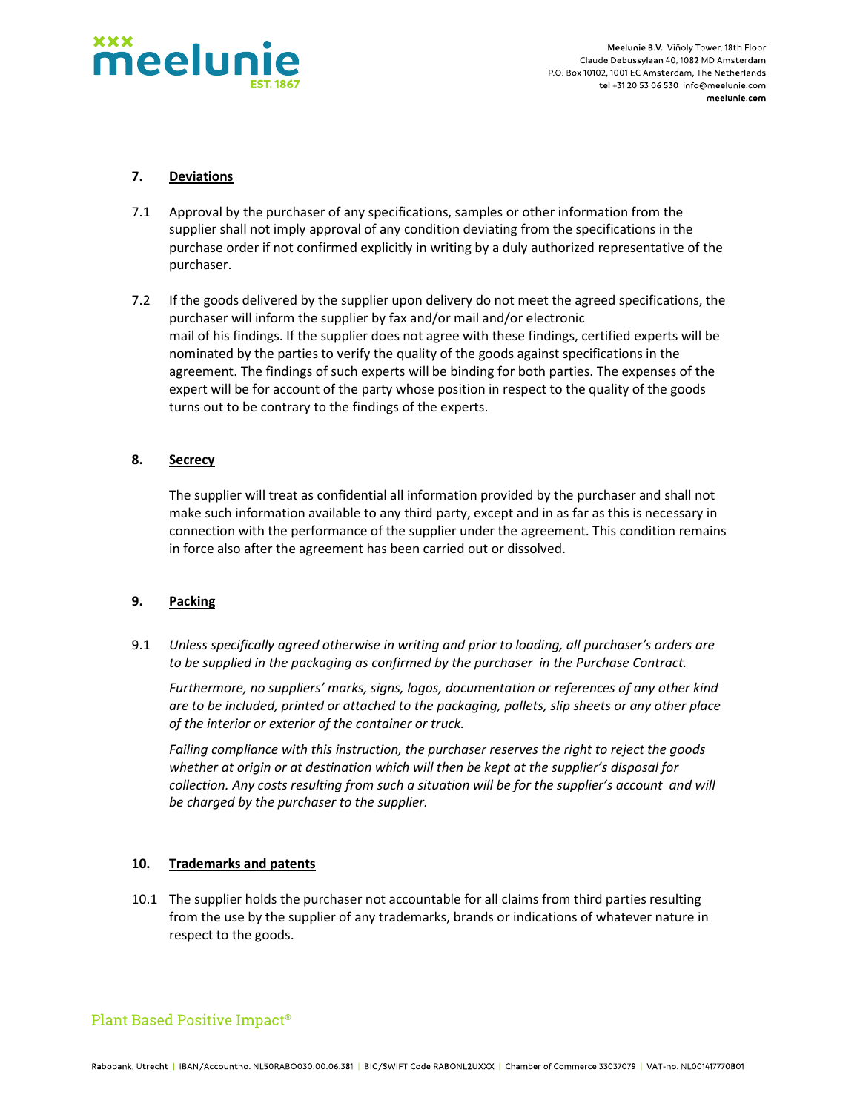

Meelunie B.V. Viñoly Tower, 18th Floor Claude Debussylaan 40, 1082 MD Amsterdam P.O. Box 10102, 1001 EC Amsterdam. The Netherlands tel +31 20 53 06 530 info@meelunie.com meelunie.com

## 7. Deviations

- 7.1 Approval by the purchaser of any specifications, samples or other information from the supplier shall not imply approval of any condition deviating from the specifications in the purchase order if not confirmed explicitly in writing by a duly authorized representative of the purchaser.
- 7.2 If the goods delivered by the supplier upon delivery do not meet the agreed specifications, the purchaser will inform the supplier by fax and/or mail and/or electronic mail of his findings. If the supplier does not agree with these findings, certified experts will be nominated by the parties to verify the quality of the goods against specifications in the agreement. The findings of such experts will be binding for both parties. The expenses of the expert will be for account of the party whose position in respect to the quality of the goods turns out to be contrary to the findings of the experts.

### 8. Secrecy

 The supplier will treat as confidential all information provided by the purchaser and shall not make such information available to any third party, except and in as far as this is necessary in connection with the performance of the supplier under the agreement. This condition remains in force also after the agreement has been carried out or dissolved.

## 9. Packing

9.1 Unless specifically agreed otherwise in writing and prior to loading, all purchaser's orders are to be supplied in the packaging as confirmed by the purchaser in the Purchase Contract.

Furthermore, no suppliers' marks, signs, logos, documentation or references of any other kind are to be included, printed or attached to the packaging, pallets, slip sheets or any other place of the interior or exterior of the container or truck.

Failing compliance with this instruction, the purchaser reserves the right to reject the goods whether at origin or at destination which will then be kept at the supplier's disposal for collection. Any costs resulting from such a situation will be for the supplier's account and will be charged by the purchaser to the supplier.

#### 10. Trademarks and patents

10.1 The supplier holds the purchaser not accountable for all claims from third parties resulting from the use by the supplier of any trademarks, brands or indications of whatever nature in respect to the goods.